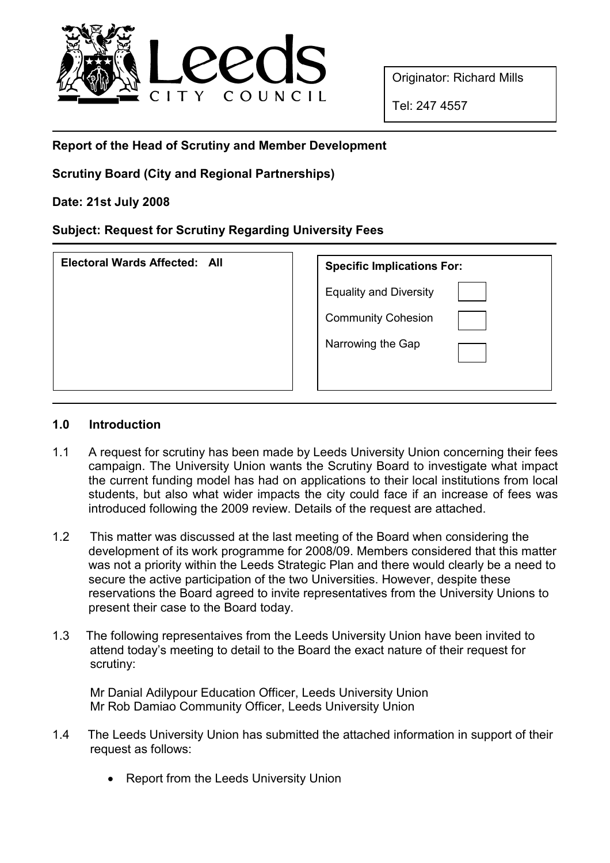

Originator: Richard Mills

Tel: 247 4557

# Report of the Head of Scrutiny and Member Development

## Scrutiny Board (City and Regional Partnerships)

### Date: 21st July 2008

### Subject: Request for Scrutiny Regarding University Fees

| Electoral Wards Affected: All | <b>Specific Implications For:</b> |
|-------------------------------|-----------------------------------|
|                               | <b>Equality and Diversity</b>     |
|                               | <b>Community Cohesion</b>         |
|                               | Narrowing the Gap                 |
|                               |                                   |

#### 1.0 Introduction

- 1.1 A request for scrutiny has been made by Leeds University Union concerning their fees campaign. The University Union wants the Scrutiny Board to investigate what impact the current funding model has had on applications to their local institutions from local students, but also what wider impacts the city could face if an increase of fees was introduced following the 2009 review. Details of the request are attached.
- 1.2 This matter was discussed at the last meeting of the Board when considering the development of its work programme for 2008/09. Members considered that this matter was not a priority within the Leeds Strategic Plan and there would clearly be a need to secure the active participation of the two Universities. However, despite these reservations the Board agreed to invite representatives from the University Unions to present their case to the Board today.
- 1.3 The following representaives from the Leeds University Union have been invited to attend today's meeting to detail to the Board the exact nature of their request for scrutiny:

 Mr Danial Adilypour Education Officer, Leeds University Union Mr Rob Damiao Community Officer, Leeds University Union

- 1.4 The Leeds University Union has submitted the attached information in support of their request as follows:
	- Report from the Leeds University Union